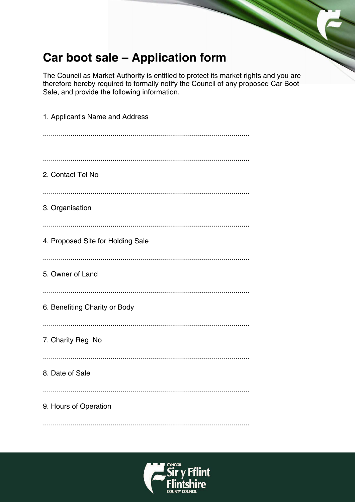# Car boot sale - Application form

The Council as Market Authority is entitled to protect its market rights and you are therefore hereby required to formally notify the Council of any proposed Car Boot Sale, and provide the following information.

| 1. Applicant's Name and Address   |
|-----------------------------------|
|                                   |
| 2. Contact Tel No                 |
| 3. Organisation                   |
| 4. Proposed Site for Holding Sale |
| 5. Owner of Land                  |
| 6. Benefiting Charity or Body     |
| 7. Charity Reg No                 |
| 8. Date of Sale                   |
| 9. Hours of Operation             |
|                                   |